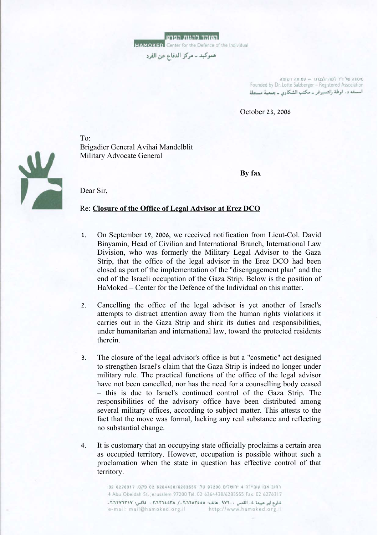

**HAMOKED** Center for the Defence of the Individual

هموكيد ــ مركز الدفاع عن الفرد

מיסודה של ד"ר לוטה זלצברגר - עמותה רשומה Founded by Dr. Lotte Salzberger - Registered Association اسسته د. لوطة زلتسبرغر \_ مكتب الشكاوي \_ جمعية مسجلة

October 23, 2006

 $T_{\Omega}$ . Brigadier General Avihai Mandelblit Military Advocate General

**By fax** 

Dear Sir,

#### Re: **Closure of the Office of Legal Advisor at Erez DCO**

- 1. On September 19, 2006, we received notification from Lieut-Col. David Binyamin, Head of Civilian and International Branch, International Law Division, who was formerly the Military Legal Advisor to the Gaza Strip, that the office of the legal advisor in the Erez DCO had been closed as part of the implementation of the "disengagement plan" and the end of the Israeli occupation of the Gaza Strip. Below is the position of HaMoked – Center for the Defence of the Individual on this matter.
- 2. Cancelling the office of the legal advisor is yet another of Israel's attempts to distract attention away from the human rights violations it carries out in the Gaza Strip and shirk its duties and responsibilities, under humanitarian and international law, toward the protected residents therein.
- 3. The closure of the legal advisor's office is but a "cosmetic" act designed to strengthen Israel's claim that the Gaza Strip is indeed no longer under military rule. The practical functions of the office of the legal advisor have not been cancelled, nor has the need for a counselling body ceased – this is due to Israel's continued control of the Gaza Strip. The responsibilities of the advisory office have been distributed among several military offices, according to subject matter. This attests to the fact that the move was formal, lacking any real substance and reflecting no substantial change.
- 4. It is customary that an occupying state officially proclaims a certain area as occupied territory. However, occupation is possible without such a proclamation when the state in question has effective control of that territory.

רחוב אבו עוביידה 4 ירושלים 97200 טל. 6283555 6276317 02 פקס. 6276317 4 Abu Obeidah St. Jerusalem 97200 Tel. 02 6264438/6283555 Fax. 02 6276317 شارع ابو عبيدة ٤، القدس ١٧٢٠٠ هاتف: ٢,١٢٨٣٥٥٥، ٢,١٢٦٢٤٣٨ - فاكس: ٢,١٢٧٢٣٦٢١٧. e-mail: mail@hamoked.org.il http://www.hamoked.org.il

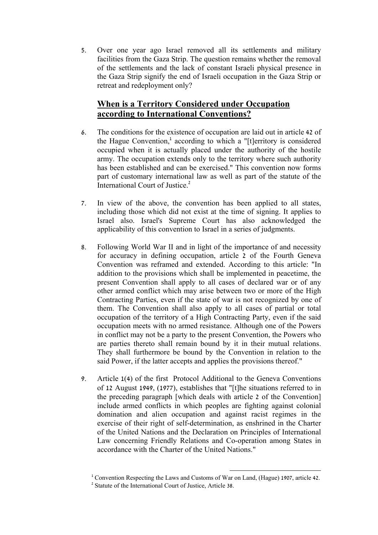5. Over one year ago Israel removed all its settlements and military facilities from the Gaza Strip. The question remains whether the removal of the settlements and the lack of constant Israeli physical presence in the Gaza Strip signify the end of Israeli occupation in the Gaza Strip or retreat and redeployment only?

# **When is a Territory Considered under Occupation according to International Conventions?**

- 6. The conditions for the existence of occupation are laid out in article 42 of the Hague Convention,<sup>1</sup> according to which a "[t]erritory is considered occupied when it is actually placed under the authority of the hostile army. The occupation extends only to the territory where such authority has been established and can be exercised." This convention now forms part of customary international law as well as part of the statute of the International Court of Justice.<sup>2</sup>
- 7. In view of the above, the convention has been applied to all states, including those which did not exist at the time of signing. It applies to Israel also. Israel's Supreme Court has also acknowledged the applicability of this convention to Israel in a series of judgments.
- 8. Following World War II and in light of the importance of and necessity for accuracy in defining occupation, article 2 of the Fourth Geneva Convention was reframed and extended. According to this article: "In addition to the provisions which shall be implemented in peacetime, the present Convention shall apply to all cases of declared war or of any other armed conflict which may arise between two or more of the High Contracting Parties, even if the state of war is not recognized by one of them. The Convention shall also apply to all cases of partial or total occupation of the territory of a High Contracting Party, even if the said occupation meets with no armed resistance. Although one of the Powers in conflict may not be a party to the present Convention, the Powers who are parties thereto shall remain bound by it in their mutual relations. They shall furthermore be bound by the Convention in relation to the said Power, if the latter accepts and applies the provisions thereof."
- 9. Article 1(4) of the first Protocol Additional to the Geneva Conventions of 12 August 1949, (1977), establishes that "[t]he situations referred to in the preceding paragraph [which deals with article 2 of the Convention] include armed conflicts in which peoples are fighting against colonial domination and alien occupation and against racist regimes in the exercise of their right of self-determination, as enshrined in the Charter of the United Nations and the Declaration on Principles of International Law concerning Friendly Relations and Co-operation among States in accordance with the Charter of the United Nations."

 $\overline{a}$ <sup>1</sup> Convention Respecting the Laws and Customs of War on Land, (Hague) 1907, article 42.<br><sup>2</sup> Statute of the International Court of Justice, Article 38.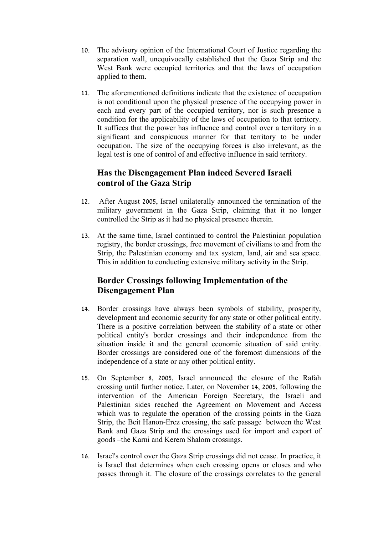- 10. The advisory opinion of the International Court of Justice regarding the separation wall, unequivocally established that the Gaza Strip and the West Bank were occupied territories and that the laws of occupation applied to them.
- 11. The aforementioned definitions indicate that the existence of occupation is not conditional upon the physical presence of the occupying power in each and every part of the occupied territory, nor is such presence a condition for the applicability of the laws of occupation to that territory. It suffices that the power has influence and control over a territory in a significant and conspicuous manner for that territory to be under occupation. The size of the occupying forces is also irrelevant, as the legal test is one of control of and effective influence in said territory.

### **Has the Disengagement Plan indeed Severed Israeli control of the Gaza Strip**

- 12. After August 2005, Israel unilaterally announced the termination of the military government in the Gaza Strip, claiming that it no longer controlled the Strip as it had no physical presence therein.
- 13. At the same time, Israel continued to control the Palestinian population registry, the border crossings, free movement of civilians to and from the Strip, the Palestinian economy and tax system, land, air and sea space. This in addition to conducting extensive military activity in the Strip.

# **Border Crossings following Implementation of the Disengagement Plan**

- 14. Border crossings have always been symbols of stability, prosperity, development and economic security for any state or other political entity. There is a positive correlation between the stability of a state or other political entity's border crossings and their independence from the situation inside it and the general economic situation of said entity. Border crossings are considered one of the foremost dimensions of the independence of a state or any other political entity.
- 15. On September 8, 2005, Israel announced the closure of the Rafah crossing until further notice. Later, on November 14, 2005, following the intervention of the American Foreign Secretary, the Israeli and Palestinian sides reached the Agreement on Movement and Access which was to regulate the operation of the crossing points in the Gaza Strip, the Beit Hanon-Erez crossing, the safe passage between the West Bank and Gaza Strip and the crossings used for import and export of goods –the Karni and Kerem Shalom crossings.
- 16. Israel's control over the Gaza Strip crossings did not cease. In practice, it is Israel that determines when each crossing opens or closes and who passes through it. The closure of the crossings correlates to the general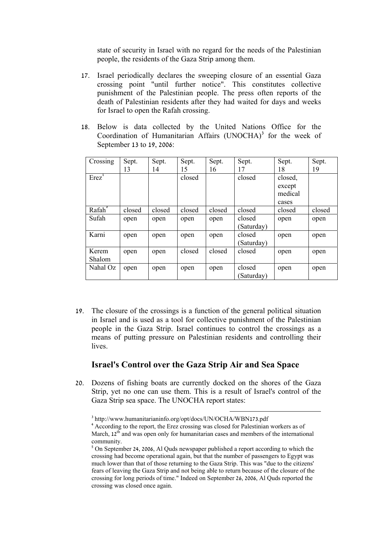state of security in Israel with no regard for the needs of the Palestinian people, the residents of the Gaza Strip among them.

- 17. Israel periodically declares the sweeping closure of an essential Gaza crossing point "until further notice". This constitutes collective punishment of the Palestinian people. The press often reports of the death of Palestinian residents after they had waited for days and weeks for Israel to open the Rafah crossing.
- 18. Below is data collected by the United Nations Office for the Coordination of Humanitarian Affairs (UNOCHA)<sup>3</sup> for the week of September 13 to 19, 2006:

| Crossing      | Sept.  | Sept.  | Sept.  | Sept.  | Sept.      | Sept.   | Sept.  |
|---------------|--------|--------|--------|--------|------------|---------|--------|
|               | 13     | 14     | 15     | 16     | 17         | 18      | 19     |
| $Erez^{\tau}$ |        |        | closed |        | closed     | closed, |        |
|               |        |        |        |        |            | except  |        |
|               |        |        |        |        |            | medical |        |
|               |        |        |        |        |            | cases   |        |
| Rafah°        | closed | closed | closed | closed | closed     | closed  | closed |
| Sufah         | open   | open   | open   | open   | closed     | open    | open   |
|               |        |        |        |        | (Saturday) |         |        |
| Karni         | open   | open   | open   | open   | closed     | open    | open   |
|               |        |        |        |        | (Saturday) |         |        |
| Kerem         | open   | open   | closed | closed | closed     | open    | open   |
| Shalom        |        |        |        |        |            |         |        |
| Nahal Oz      | open   | open   | open   | open   | closed     | open    | open   |
|               |        |        |        |        | (Saturday) |         |        |

19. The closure of the crossings is a function of the general political situation in Israel and is used as a tool for collective punishment of the Palestinian people in the Gaza Strip. Israel continues to control the crossings as a means of putting pressure on Palestinian residents and controlling their lives.

### **Israel's Control over the Gaza Strip Air and Sea Space**

20. Dozens of fishing boats are currently docked on the shores of the Gaza Strip, yet no one can use them. This is a result of Israel's control of the Gaza Strip sea space. The UNOCHA report states:

<sup>&</sup>lt;sup>3</sup> http://www.humanitarianinfo.org/opt/docs/UN/OCHA/WBN173.pdf<br><sup>4</sup> According to the report, the Erez crossing was closed for Palestinian workers as of March,  $12^{th}$  and was open only for humanitarian cases and members of the international community.

<sup>&</sup>lt;sup>5</sup> On September 24, 2006, Al Quds newspaper published a report according to which the crossing had become operational again, but that the number of passengers to Egypt was much lower than that of those returning to the Gaza Strip. This was "due to the citizens' fears of leaving the Gaza Strip and not being able to return because of the closure of the crossing for long periods of time." Indeed on September 26, 2006, Al Quds reported the crossing was closed once again.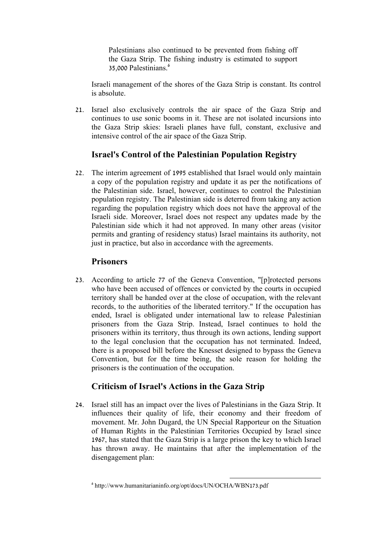Palestinians also continued to be prevented from fishing off the Gaza Strip. The fishing industry is estimated to support 35,000 Palestinians.<sup>6</sup>

Israeli management of the shores of the Gaza Strip is constant. Its control is absolute.

21. Israel also exclusively controls the air space of the Gaza Strip and continues to use sonic booms in it. These are not isolated incursions into the Gaza Strip skies: Israeli planes have full, constant, exclusive and intensive control of the air space of the Gaza Strip.

# **Israel's Control of the Palestinian Population Registry**

22. The interim agreement of 1995 established that Israel would only maintain a copy of the population registry and update it as per the notifications of the Palestinian side. Israel, however, continues to control the Palestinian population registry. The Palestinian side is deterred from taking any action regarding the population registry which does not have the approval of the Israeli side. Moreover, Israel does not respect any updates made by the Palestinian side which it had not approved. In many other areas (visitor permits and granting of residency status) Israel maintains its authority, not just in practice, but also in accordance with the agreements.

### **Prisoners**

23. According to article 77 of the Geneva Convention, "[p]rotected persons who have been accused of offences or convicted by the courts in occupied territory shall be handed over at the close of occupation, with the relevant records, to the authorities of the liberated territory." If the occupation has ended, Israel is obligated under international law to release Palestinian prisoners from the Gaza Strip. Instead, Israel continues to hold the prisoners within its territory, thus through its own actions, lending support to the legal conclusion that the occupation has not terminated. Indeed, there is a proposed bill before the Knesset designed to bypass the Geneva Convention, but for the time being, the sole reason for holding the prisoners is the continuation of the occupation.

# **Criticism of Israel's Actions in the Gaza Strip**

24. Israel still has an impact over the lives of Palestinians in the Gaza Strip. It influences their quality of life, their economy and their freedom of movement. Mr. John Dugard, the UN Special Rapporteur on the Situation of Human Rights in the Palestinian Territories Occupied by Israel since 1967, has stated that the Gaza Strip is a large prison the key to which Israel has thrown away. He maintains that after the implementation of the disengagement plan:

<sup>6</sup> http://www.humanitarianinfo.org/opt/docs/UN/OCHA/WBN173.pdf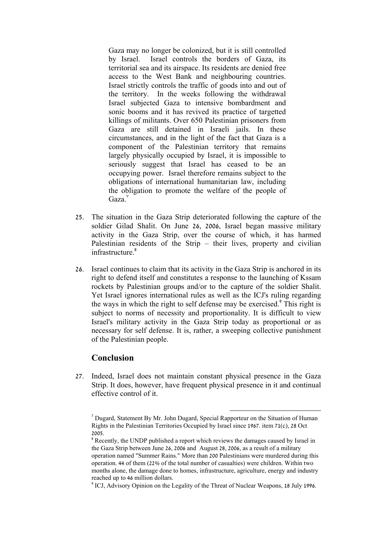Gaza may no longer be colonized, but it is still controlled by Israel. Israel controls the borders of Gaza, its territorial sea and its airspace. Its residents are denied free access to the West Bank and neighbouring countries. Israel strictly controls the traffic of goods into and out of the territory. In the weeks following the withdrawal Israel subjected Gaza to intensive bombardment and sonic booms and it has revived its practice of targetted killings of militants. Over 650 Palestinian prisoners from Gaza are still detained in Israeli jails. In these circumstances, and in the light of the fact that Gaza is a component of the Palestinian territory that remains largely physically occupied by Israel, it is impossible to seriously suggest that Israel has ceased to be an occupying power. Israel therefore remains subject to the obligations of international humanitarian law, including the obligation to promote the welfare of the people of Gaza<sup>y</sup>

- 25. The situation in the Gaza Strip deteriorated following the capture of the soldier Gilad Shalit. On June 26, 2006, Israel began massive military activity in the Gaza Strip, over the course of which, it has harmed Palestinian residents of the Strip – their lives, property and civilian infrastructure<sup>8</sup>
- 26. Israel continues to claim that its activity in the Gaza Strip is anchored in its right to defend itself and constitutes a response to the launching of Kssam rockets by Palestinian groups and/or to the capture of the soldier Shalit. Yet Israel ignores international rules as well as the ICJ's ruling regarding the ways in which the right to self defense may be exercised.<sup>9</sup> This right is subject to norms of necessity and proportionality. It is difficult to view Israel's military activity in the Gaza Strip today as proportional or as necessary for self defense. It is, rather, a sweeping collective punishment of the Palestinian people.

### **Conclusion**

27. Indeed, Israel does not maintain constant physical presence in the Gaza Strip. It does, however, have frequent physical presence in it and continual effective control of it.

<sup>&</sup>lt;sup>7</sup> Dugard, Statement By Mr. John Dugard, Special Rapporteur on the Situation of Human Rights in the Palestinian Territories Occupied by Israel since 1967. item 71(c), 28 Oct

<sup>&</sup>lt;sup>8</sup> Recently, the UNDP published a report which reviews the damages caused by Israel in the Gaza Strip between June 26, 2006 and August 28, 2006, as a result of a military operation named "Summer Rains." More than 200 Palestinians were murdered during this operation. 44 of them (22% of the total number of casualties) were children. Within two months alone, the damage done to homes, infrastructure, agriculture, energy and industry reached up to 46 million dollars.<br><sup>9</sup> ICJ, Advisory Opinion on the Legality of the Threat of Nuclear Weapons, 18 July 1996.